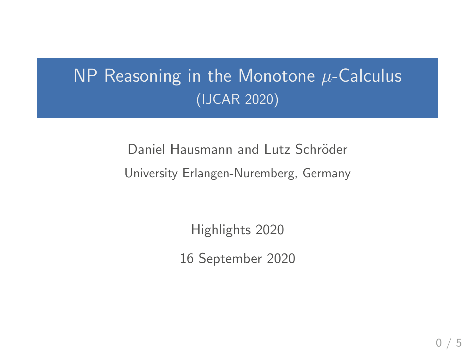# NP Reasoning in the Monotone  $\mu$ -Calculus (IJCAR 2020)

Daniel Hausmann and Lutz Schröder University Erlangen-Nuremberg, Germany

Highlights 2020

16 September 2020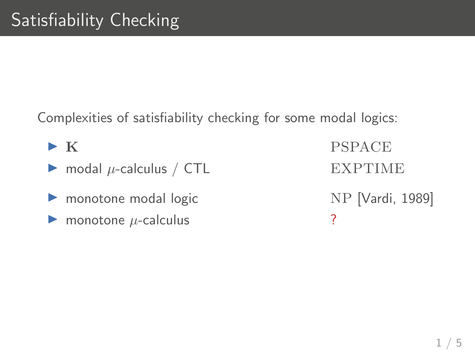Complexities of satisfiability checking for some modal logics:

- $\triangleright$  modal  $\mu$ -calculus / CTL EXPTIME
- ▶ monotone modal logic NP [Vardi, 1989]
- $\triangleright$  monotone  $\mu$ -calculus ?

 $\triangleright$  K PSPACE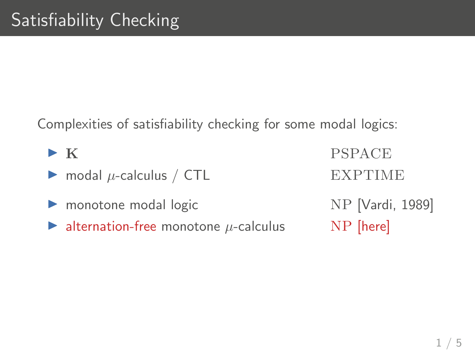Complexities of satisfiability checking for some modal logics:

 $\triangleright$  K PSPACE  $\triangleright$  modal  $\mu$ -calculus / CTL EXPTIME ▶ monotone modal logic NP [Vardi, 1989] ightharpoontone  $\mu$ -calculus NP [here]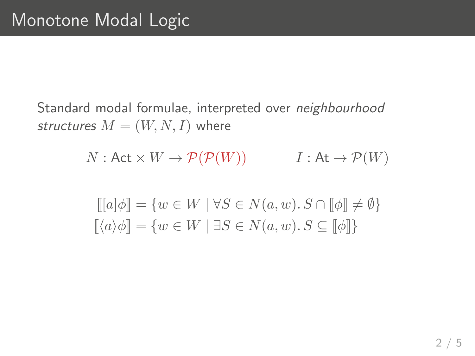Standard modal formulae, interpreted over neighbourhood structures  $M = (W, N, I)$  where

 $N:$  Act  $\times W \to \mathcal{P}(\mathcal{P}(W))$   $I:$  At  $\to \mathcal{P}(W)$ 

$$
\begin{aligned} [[a]\phi] &= \{ w \in W \mid \forall S \in N(a, w). S \cap [\![\phi]\!] \neq \emptyset \} \\ [\![\langle a \rangle \phi]\!] &= \{ w \in W \mid \exists S \in N(a, w). S \subseteq [\![\phi]\!] \} \end{aligned}
$$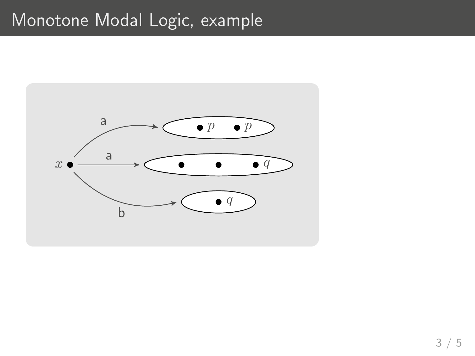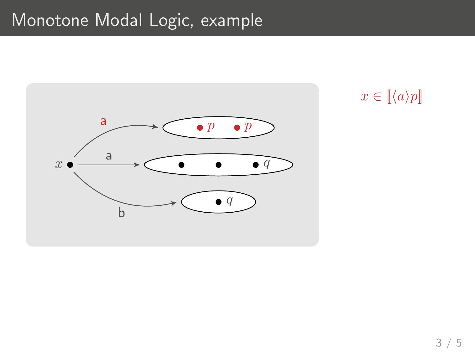

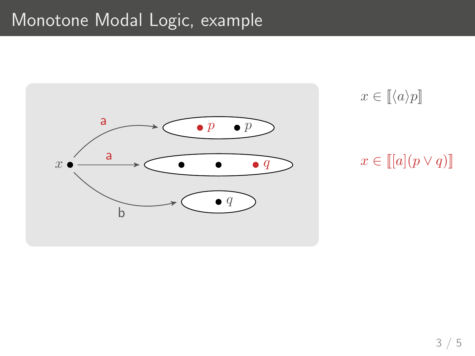

 $x \in \llbracket \langle a \rangle p \rrbracket$ 

#### $x \in \llbracket [a](p \vee q) \rrbracket$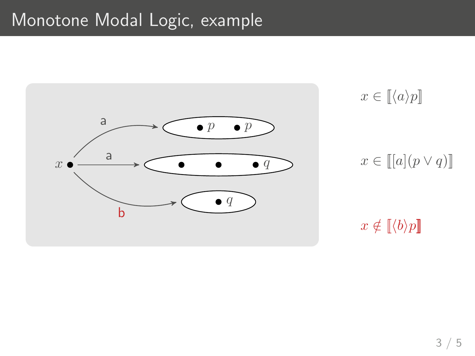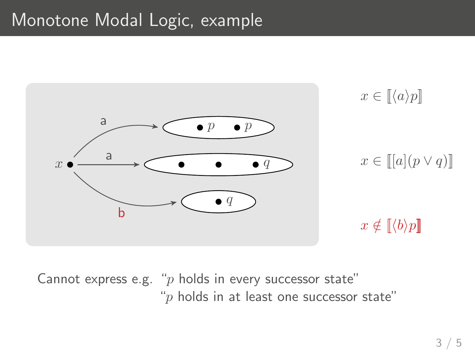

Cannot express e.g. " $p$  holds in every successor state" " $p$  holds in at least one successor state"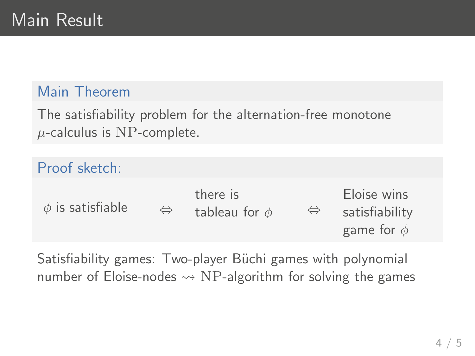#### Main Theorem

The satisfiability problem for the alternation-free monotone  $\mu$ -calculus is NP-complete.

| Proof sketch:         |                   |                                |                   |                                                  |
|-----------------------|-------------------|--------------------------------|-------------------|--------------------------------------------------|
| $\phi$ is satisfiable | $\Leftrightarrow$ | there is<br>tableau for $\phi$ | $\Leftrightarrow$ | Eloise wins<br>satisfiability<br>game for $\phi$ |

Satisfiability games: Two-player Büchi games with polynomial number of Eloise-nodes  $\rightsquigarrow$  NP-algorithm for solving the games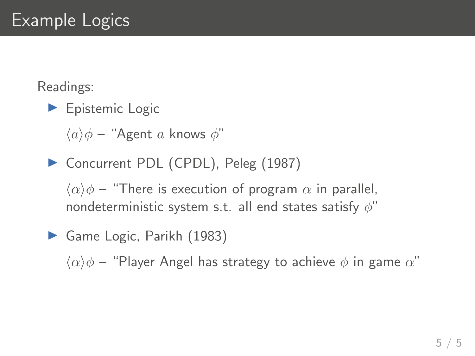Readings:

 $\blacktriangleright$  Epistemic Logic

 $\langle a \rangle \phi$  – "Agent a knows  $\phi$ "

▶ Concurrent PDL (CPDL), Peleg (1987)

 $\langle \alpha \rangle \phi$  – "There is execution of program  $\alpha$  in parallel, nondeterministic system s.t. all end states satisfy  $\phi$ "

Game Logic, Parikh (1983)

 $\langle \alpha \rangle \phi$  – "Player Angel has strategy to achieve  $\phi$  in game  $\alpha$ "